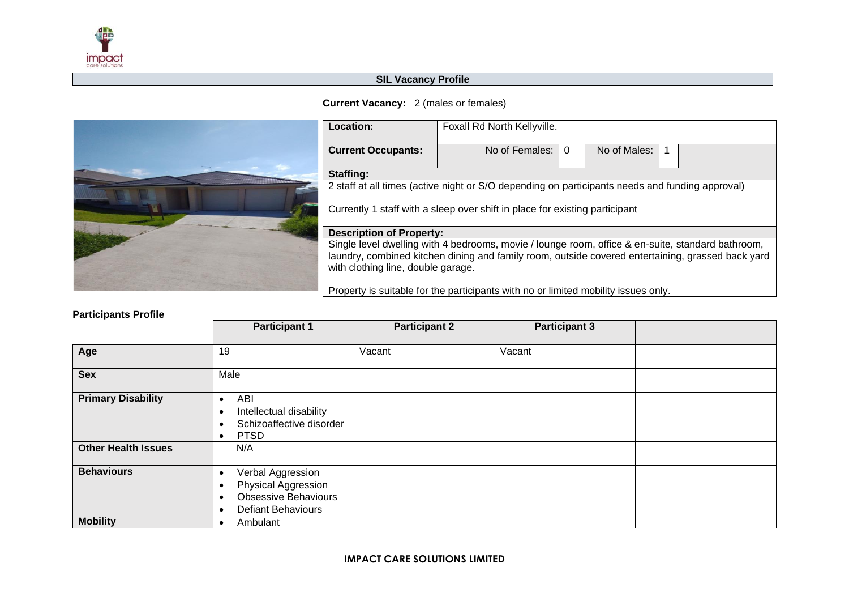

## **SIL Vacancy Profile**

## **Current Vacancy:** 2 (males or females)



| Location:                                                                                                                                                                                                                                    | Foxall Rd North Kellyville. |   |              |  |  |  |  |
|----------------------------------------------------------------------------------------------------------------------------------------------------------------------------------------------------------------------------------------------|-----------------------------|---|--------------|--|--|--|--|
| <b>Current Occupants:</b>                                                                                                                                                                                                                    | No of Females:              | 0 | No of Males: |  |  |  |  |
| Staffing:                                                                                                                                                                                                                                    |                             |   |              |  |  |  |  |
| 2 staff at all times (active night or S/O depending on participants needs and funding approval)                                                                                                                                              |                             |   |              |  |  |  |  |
| Currently 1 staff with a sleep over shift in place for existing participant                                                                                                                                                                  |                             |   |              |  |  |  |  |
| <b>Description of Property:</b>                                                                                                                                                                                                              |                             |   |              |  |  |  |  |
| Single level dwelling with 4 bedrooms, movie / lounge room, office & en-suite, standard bathroom,<br>laundry, combined kitchen dining and family room, outside covered entertaining, grassed back yard<br>with clothing line, double garage. |                             |   |              |  |  |  |  |

Property is suitable for the participants with no or limited mobility issues only.

## **Participants Profile**

|                            | <b>Participant 1</b>                                                                                 | <b>Participant 2</b> | <b>Participant 3</b> |  |
|----------------------------|------------------------------------------------------------------------------------------------------|----------------------|----------------------|--|
| Age                        | 19                                                                                                   | Vacant               | Vacant               |  |
| <b>Sex</b>                 | Male                                                                                                 |                      |                      |  |
| <b>Primary Disability</b>  | ABI<br>Intellectual disability<br>Schizoaffective disorder<br><b>PTSD</b><br>$\bullet$               |                      |                      |  |
| <b>Other Health Issues</b> | N/A                                                                                                  |                      |                      |  |
| <b>Behaviours</b>          | Verbal Aggression<br>Physical Aggression<br><b>Obsessive Behaviours</b><br><b>Defiant Behaviours</b> |                      |                      |  |
| <b>Mobility</b>            | Ambulant                                                                                             |                      |                      |  |